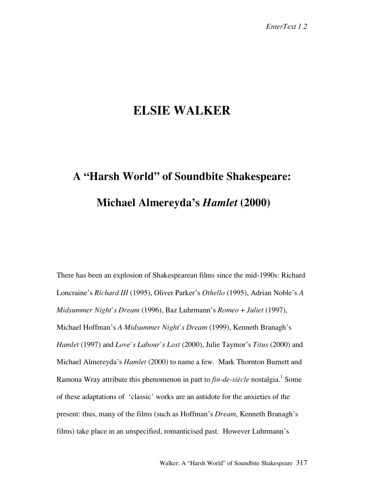## **ELSIE WALKER**

## **A "Harsh World" of Soundbite Shakespeare: Michael Almereyda's** *Hamlet* **(2000)**

There has been an explosion of Shakespearean films since the mid-1990s: Richard Loncraine's *Richard III* (1995), Oliver Parker's *Othello* (1995), Adrian Noble's *A Midsummer Night's Dream* (1996), Baz Luhrmann's *Romeo* + *Juliet* (1997), Michael Hoffman's *A Midsummer Night's Dream* (1999), Kenneth Branagh's *Hamlet* (1997) and *Love's Labour's Lost* (2000), Julie Taymor's *Titus* (2000) and Michael Almereyda's *Hamlet* (2000) to name a few. Mark Thornton Burnett and Ramona Wray attribute this phenomenon in part to *fin-de-siècle* nostalgia.<sup>1</sup> Some of these adaptations of 'classic' works are an antidote for the anxieties of the present: thus, many of the films (such as Hoffman's *Dream*, Kenneth Branagh's films) take place in an unspecified, romanticised past. However Luhrmann's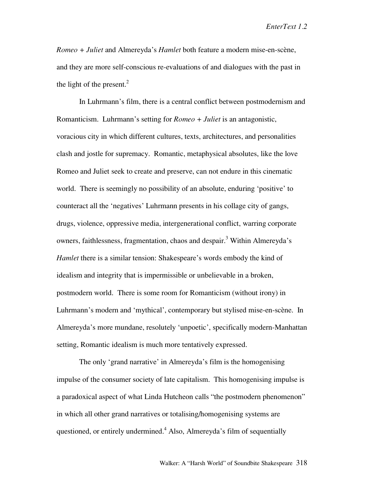*Romeo + Juliet* and Almereyda's *Hamlet* both feature a modern mise-en-scène, and they are more self-conscious re-evaluations of and dialogues with the past in the light of the present. $^{2}$ 

In Luhrmann's film, there is a central conflict between postmodernism and Romanticism. Luhrmann's setting for *Romeo + Juliet* is an antagonistic, voracious city in which different cultures, texts, architectures, and personalities clash and jostle for supremacy. Romantic, metaphysical absolutes, like the love Romeo and Juliet seek to create and preserve, can not endure in this cinematic world. There is seemingly no possibility of an absolute, enduring 'positive' to counteract all the 'negatives' Luhrmann presents in his collage city of gangs, drugs, violence, oppressive media, intergenerational conflict, warring corporate owners, faithlessness, fragmentation, chaos and despair.<sup>3</sup> Within Almereyda's *Hamlet* there is a similar tension: Shakespeare's words embody the kind of idealism and integrity that is impermissible or unbelievable in a broken, postmodern world. There is some room for Romanticism (without irony) in Luhrmann's modern and 'mythical', contemporary but stylised mise-en-scène. In Almereyda's more mundane, resolutely 'unpoetic', specifically modern-Manhattan setting, Romantic idealism is much more tentatively expressed.

The only 'grand narrative' in Almereyda's film is the homogenising impulse of the consumer society of late capitalism. This homogenising impulse is a paradoxical aspect of what Linda Hutcheon calls "the postmodern phenomenon" in which all other grand narratives or totalising/homogenising systems are questioned, or entirely undermined.<sup>4</sup> Also, Almereyda's film of sequentially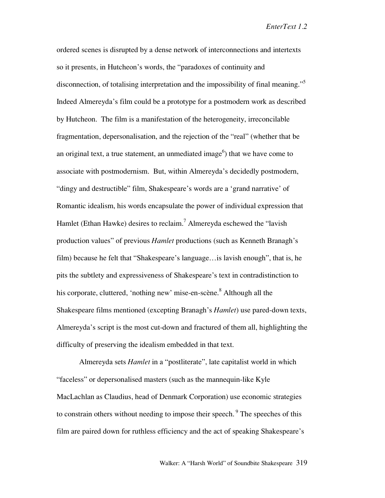ordered scenes is disrupted by a dense network of interconnections and intertexts so it presents, in Hutcheon's words, the "paradoxes of continuity and disconnection, of totalising interpretation and the impossibility of final meaning."<sup>5</sup> Indeed Almereyda's film could be a prototype for a postmodern work as described by Hutcheon. The film is a manifestation of the heterogeneity, irreconcilable fragmentation, depersonalisation, and the rejection of the "real" (whether that be an original text, a true statement, an unmediated image $^6$ ) that we have come to associate with postmodernism. But, within Almereyda's decidedly postmodern, "dingy and destructible" film, Shakespeare's words are a 'grand narrative' of Romantic idealism, his words encapsulate the power of individual expression that Hamlet (Ethan Hawke) desires to reclaim.<sup>7</sup> Almereyda eschewed the "lavish production values" of previous *Hamlet* productions (such as Kenneth Branagh's film) because he felt that "Shakespeare's language…is lavish enough", that is, he pits the subtlety and expressiveness of Shakespeare's text in contradistinction to his corporate, cluttered, 'nothing new' mise-en-scène.<sup>8</sup> Although all the Shakespeare films mentioned (excepting Branagh's *Hamlet*) use pared-down texts, Almereyda's script is the most cut-down and fractured of them all, highlighting the difficulty of preserving the idealism embedded in that text.

Almereyda sets *Hamlet* in a "postliterate", late capitalist world in which "faceless" or depersonalised masters (such as the mannequin-like Kyle MacLachlan as Claudius, head of Denmark Corporation) use economic strategies to constrain others without needing to impose their speech.<sup>9</sup> The speeches of this film are paired down for ruthless efficiency and the act of speaking Shakespeare's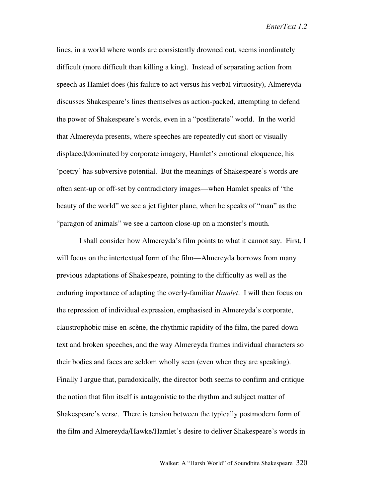lines, in a world where words are consistently drowned out, seems inordinately difficult (more difficult than killing a king). Instead of separating action from speech as Hamlet does (his failure to act versus his verbal virtuosity), Almereyda discusses Shakespeare's lines themselves as action-packed, attempting to defend the power of Shakespeare's words, even in a "postliterate" world. In the world that Almereyda presents, where speeches are repeatedly cut short or visually displaced/dominated by corporate imagery, Hamlet's emotional eloquence, his 'poetry' has subversive potential. But the meanings of Shakespeare's words are often sent-up or off-set by contradictory images—when Hamlet speaks of "the beauty of the world" we see a jet fighter plane, when he speaks of "man" as the "paragon of animals" we see a cartoon close-up on a monster's mouth.

I shall consider how Almereyda's film points to what it cannot say. First, I will focus on the intertextual form of the film—Almereyda borrows from many previous adaptations of Shakespeare, pointing to the difficulty as well as the enduring importance of adapting the overly-familiar *Hamlet*. I will then focus on the repression of individual expression, emphasised in Almereyda's corporate, claustrophobic mise-en-scène, the rhythmic rapidity of the film, the pared-down text and broken speeches, and the way Almereyda frames individual characters so their bodies and faces are seldom wholly seen (even when they are speaking). Finally I argue that, paradoxically, the director both seems to confirm and critique the notion that film itself is antagonistic to the rhythm and subject matter of Shakespeare's verse. There is tension between the typically postmodern form of the film and Almereyda/Hawke/Hamlet's desire to deliver Shakespeare's words in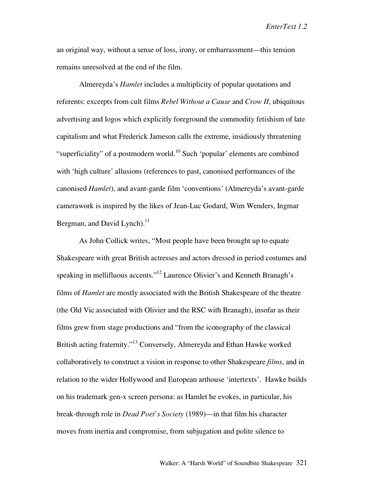an original way, without a sense of loss, irony, or embarrassment—this tension remains unresolved at the end of the film.

Almereyda's *Hamlet* includes a multiplicity of popular quotations and referents: excerpts from cult films *Rebel Without a Cause* and *Crow II*, ubiquitous advertising and logos which explicitly foreground the commodity fetishism of late capitalism and what Frederick Jameson calls the extreme, insidiously threatening "superficiality" of a postmodern world.<sup>10</sup> Such 'popular' elements are combined with 'high culture' allusions (references to past, canonised performances of the canonised *Hamlet*), and avant-garde film 'conventions' (Almereyda's avant-garde camerawork is inspired by the likes of Jean-Luc Godard, Wim Wenders, Ingmar Bergman, and David Lynch). $^{11}$ 

As John Collick writes, "Most people have been brought up to equate Shakespeare with great British actresses and actors dressed in period costumes and speaking in mellifluous accents."<sup>12</sup> Laurence Olivier's and Kenneth Branagh's films of *Hamlet* are mostly associated with the British Shakespeare of the theatre (the Old Vic associated with Olivier and the RSC with Branagh), insofar as their films grew from stage productions and "from the iconography of the classical British acting fraternity."<sup>13</sup> Conversely, Almereyda and Ethan Hawke worked collaboratively to construct a vision in response to other Shakespeare *films*, and in relation to the wider Hollywood and European arthouse 'intertexts'. Hawke builds on his trademark gen-x screen persona: as Hamlet he evokes, in particular, his break-through role in *Dead Poet's Society* (1989)—in that film his character moves from inertia and compromise, from subjugation and polite silence to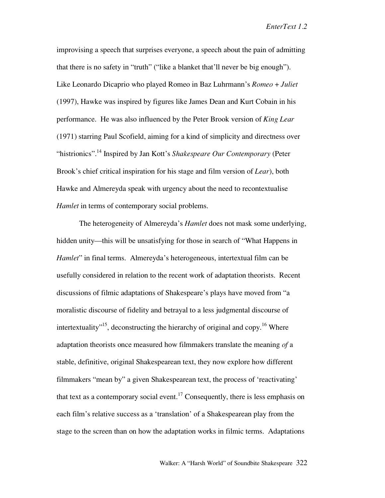improvising a speech that surprises everyone, a speech about the pain of admitting that there is no safety in "truth" ("like a blanket that'll never be big enough"). Like Leonardo Dicaprio who played Romeo in Baz Luhrmann's *Romeo* + *Juliet* (1997), Hawke was inspired by figures like James Dean and Kurt Cobain in his performance. He was also influenced by the Peter Brook version of *King Lear* (1971) starring Paul Scofield, aiming for a kind of simplicity and directness over "histrionics".14 Inspired by Jan Kott's *Shakespeare Our Contemporary* (Peter Brook's chief critical inspiration for his stage and film version of *Lear*), both Hawke and Almereyda speak with urgency about the need to recontextualise *Hamlet* in terms of contemporary social problems.

The heterogeneity of Almereyda's *Hamlet* does not mask some underlying, hidden unity—this will be unsatisfying for those in search of "What Happens in *Hamlet*" in final terms. Almereyda's heterogeneous, intertextual film can be usefully considered in relation to the recent work of adaptation theorists. Recent discussions of filmic adaptations of Shakespeare's plays have moved from "a moralistic discourse of fidelity and betrayal to a less judgmental discourse of intertextuality"<sup>15</sup>, deconstructing the hierarchy of original and copy.<sup>16</sup> Where adaptation theorists once measured how filmmakers translate the meaning *of* a stable, definitive, original Shakespearean text, they now explore how different filmmakers "mean by" a given Shakespearean text, the process of 'reactivating' that text as a contemporary social event.<sup>17</sup> Consequently, there is less emphasis on each film's relative success as a 'translation' of a Shakespearean play from the stage to the screen than on how the adaptation works in filmic terms. Adaptations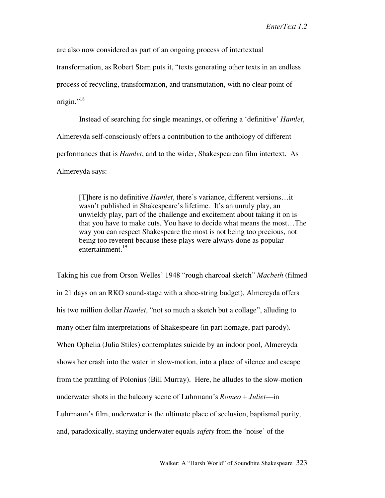are also now considered as part of an ongoing process of intertextual transformation, as Robert Stam puts it, "texts generating other texts in an endless process of recycling, transformation, and transmutation, with no clear point of origin."<sup>18</sup>

Instead of searching for single meanings, or offering a 'definitive' *Hamlet*, Almereyda self-consciously offers a contribution to the anthology of different performances that is *Hamlet*, and to the wider, Shakespearean film intertext. As Almereyda says:

[T]here is no definitive *Hamlet*, there's variance, different versions…it wasn't published in Shakespeare's lifetime. It's an unruly play, an unwieldy play, part of the challenge and excitement about taking it on is that you have to make cuts. You have to decide what means the most…The way you can respect Shakespeare the most is not being too precious, not being too reverent because these plays were always done as popular entertainment.<sup>19</sup>

Taking his cue from Orson Welles' 1948 "rough charcoal sketch" *Macbeth* (filmed in 21 days on an RKO sound-stage with a shoe-string budget), Almereyda offers his two million dollar *Hamlet*, "not so much a sketch but a collage", alluding to many other film interpretations of Shakespeare (in part homage, part parody). When Ophelia (Julia Stiles) contemplates suicide by an indoor pool, Almereyda shows her crash into the water in slow-motion, into a place of silence and escape from the prattling of Polonius (Bill Murray). Here, he alludes to the slow-motion underwater shots in the balcony scene of Luhrmann's *Romeo* + *Juliet*—in Luhrmann's film, underwater is the ultimate place of seclusion, baptismal purity, and, paradoxically, staying underwater equals *safety* from the 'noise' of the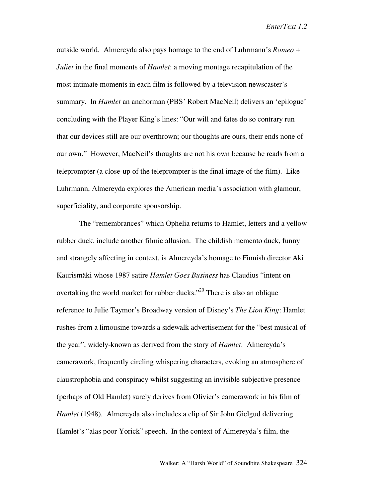outside world. Almereyda also pays homage to the end of Luhrmann's *Romeo* + *Juliet* in the final moments of *Hamlet*: a moving montage recapitulation of the most intimate moments in each film is followed by a television newscaster's summary. In *Hamlet* an anchorman (PBS' Robert MacNeil) delivers an 'epilogue' concluding with the Player King's lines: "Our will and fates do so contrary run that our devices still are our overthrown; our thoughts are ours, their ends none of our own." However, MacNeil's thoughts are not his own because he reads from a teleprompter (a close-up of the teleprompter is the final image of the film). Like Luhrmann, Almereyda explores the American media's association with glamour, superficiality, and corporate sponsorship.

The "remembrances" which Ophelia returns to Hamlet, letters and a yellow rubber duck, include another filmic allusion. The childish memento duck, funny and strangely affecting in context, is Almereyda's homage to Finnish director Aki Kaurismäki whose 1987 satire *Hamlet Goes Business* has Claudius "intent on overtaking the world market for rubber ducks.<sup>320</sup> There is also an oblique reference to Julie Taymor's Broadway version of Disney's *The Lion King*: Hamlet rushes from a limousine towards a sidewalk advertisement for the "best musical of the year", widely-known as derived from the story of *Hamlet*. Almereyda's camerawork, frequently circling whispering characters, evoking an atmosphere of claustrophobia and conspiracy whilst suggesting an invisible subjective presence (perhaps of Old Hamlet) surely derives from Olivier's camerawork in his film of *Hamlet* (1948). Almereyda also includes a clip of Sir John Gielgud delivering Hamlet's "alas poor Yorick" speech. In the context of Almereyda's film, the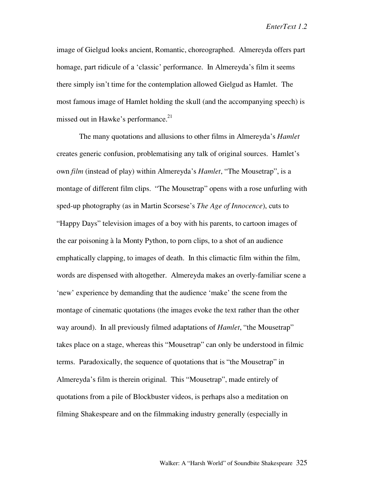image of Gielgud looks ancient, Romantic, choreographed. Almereyda offers part homage, part ridicule of a 'classic' performance. In Almereyda's film it seems there simply isn't time for the contemplation allowed Gielgud as Hamlet. The most famous image of Hamlet holding the skull (and the accompanying speech) is missed out in Hawke's performance.<sup>21</sup>

The many quotations and allusions to other films in Almereyda's *Hamlet* creates generic confusion, problematising any talk of original sources. Hamlet's own *film* (instead of play) within Almereyda's *Hamlet*, "The Mousetrap", is a montage of different film clips. "The Mousetrap" opens with a rose unfurling with sped-up photography (as in Martin Scorsese's *The Age of Innocence*), cuts to "Happy Days" television images of a boy with his parents, to cartoon images of the ear poisoning à la Monty Python, to porn clips, to a shot of an audience emphatically clapping, to images of death. In this climactic film within the film, words are dispensed with altogether. Almereyda makes an overly-familiar scene a 'new' experience by demanding that the audience 'make' the scene from the montage of cinematic quotations (the images evoke the text rather than the other way around). In all previously filmed adaptations of *Hamlet*, "the Mousetrap" takes place on a stage, whereas this "Mousetrap" can only be understood in filmic terms. Paradoxically, the sequence of quotations that is "the Mousetrap" in Almereyda's film is therein original. This "Mousetrap", made entirely of quotations from a pile of Blockbuster videos, is perhaps also a meditation on filming Shakespeare and on the filmmaking industry generally (especially in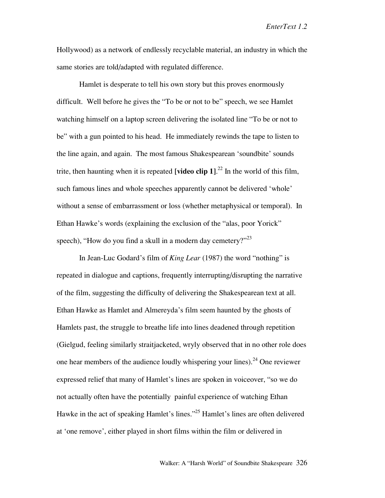Hollywood) as a network of endlessly recyclable material, an industry in which the same stories are told/adapted with regulated difference.

Hamlet is desperate to tell his own story but this proves enormously difficult. Well before he gives the "To be or not to be" speech, we see Hamlet watching himself on a laptop screen delivering the isolated line "To be or not to be" with a gun pointed to his head. He immediately rewinds the tape to listen to the line again, and again. The most famous Shakespearean 'soundbite' sounds trite, then haunting when it is repeated **[video clip 1]**. <sup>22</sup> In the world of this film, such famous lines and whole speeches apparently cannot be delivered 'whole' without a sense of embarrassment or loss (whether metaphysical or temporal). In Ethan Hawke's words (explaining the exclusion of the "alas, poor Yorick" speech), "How do you find a skull in a modern day cemetery?"<sup>23</sup>

In Jean-Luc Godard's film of *King Lear* (1987) the word "nothing" is repeated in dialogue and captions, frequently interrupting/disrupting the narrative of the film, suggesting the difficulty of delivering the Shakespearean text at all. Ethan Hawke as Hamlet and Almereyda's film seem haunted by the ghosts of Hamlets past, the struggle to breathe life into lines deadened through repetition (Gielgud, feeling similarly straitjacketed, wryly observed that in no other role does one hear members of the audience loudly whispering your lines).<sup>24</sup> One reviewer expressed relief that many of Hamlet's lines are spoken in voiceover, "so we do not actually often have the potentially painful experience of watching Ethan Hawke in the act of speaking Hamlet's lines."25 Hamlet's lines are often delivered at 'one remove', either played in short films within the film or delivered in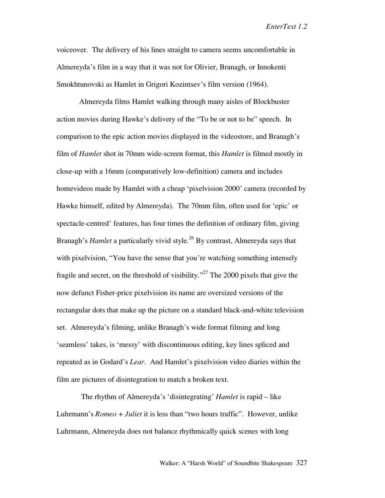voiceover. The delivery of his lines straight to camera seems uncomfortable in Almereyda's film in a way that it was not for Olivier, Branagh, or Innokenti Smokhtunovski as Hamlet in Grigori Kozintsev's film version (1964).

Almereyda films Hamlet walking through many aisles of Blockbuster action movies during Hawke's delivery of the "To be or not to be" speech. In comparison to the epic action movies displayed in the videostore, and Branagh's film of *Hamlet* shot in 70mm wide-screen format, this *Hamlet* is filmed mostly in close-up with a 16mm (comparatively low-definition) camera and includes homevideos made by Hamlet with a cheap 'pixelvision 2000' camera (recorded by Hawke himself, edited by Almereyda). The 70mm film, often used for 'epic' or spectacle-centred' features, has four times the definition of ordinary film, giving Branagh's *Hamlet* a particularly vivid style.<sup>26</sup> By contrast, Almereyda says that with pixelvision, "You have the sense that you're watching something intensely fragile and secret, on the threshold of visibility."<sup>27</sup> The 2000 pixels that give the now defunct Fisher-price pixelvision its name are oversized versions of the rectangular dots that make up the picture on a standard black-and-white television set. Almereyda's filming, unlike Branagh's wide format filming and long 'seamless' takes, is 'messy' with discontinuous editing, key lines spliced and repeated as in Godard's *Lear*. And Hamlet's pixelvision video diaries within the film are pictures of disintegration to match a broken text.

The rhythm of Almereyda's 'disintegrating' *Hamlet* is rapid – like Luhrmann's *Romeo + Juliet* it is less than "two hours traffic". However, unlike Luhrmann, Almereyda does not balance rhythmically quick scenes with long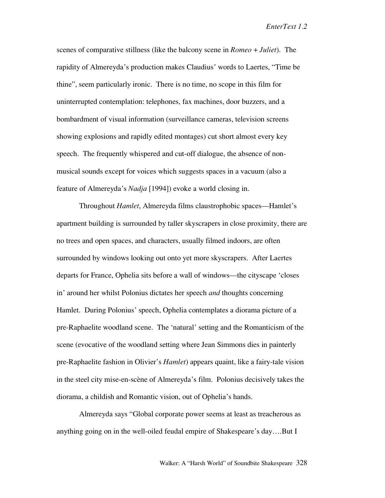scenes of comparative stillness (like the balcony scene in *Romeo* + *Juliet*). The rapidity of Almereyda's production makes Claudius' words to Laertes, "Time be thine", seem particularly ironic. There is no time, no scope in this film for uninterrupted contemplation: telephones, fax machines, door buzzers, and a bombardment of visual information (surveillance cameras, television screens showing explosions and rapidly edited montages) cut short almost every key speech. The frequently whispered and cut-off dialogue, the absence of nonmusical sounds except for voices which suggests spaces in a vacuum (also a feature of Almereyda's *Nadja* [1994]) evoke a world closing in.

Throughout *Hamlet*, Almereyda films claustrophobic spaces—Hamlet's apartment building is surrounded by taller skyscrapers in close proximity, there are no trees and open spaces, and characters, usually filmed indoors, are often surrounded by windows looking out onto yet more skyscrapers. After Laertes departs for France, Ophelia sits before a wall of windows—the cityscape 'closes in' around her whilst Polonius dictates her speech *and* thoughts concerning Hamlet. During Polonius' speech, Ophelia contemplates a diorama picture of a pre-Raphaelite woodland scene. The 'natural' setting and the Romanticism of the scene (evocative of the woodland setting where Jean Simmons dies in painterly pre-Raphaelite fashion in Olivier's *Hamlet*) appears quaint, like a fairy-tale vision in the steel city mise-en-scène of Almereyda's film. Polonius decisively takes the diorama, a childish and Romantic vision, out of Ophelia's hands.

Almereyda says "Global corporate power seems at least as treacherous as anything going on in the well-oiled feudal empire of Shakespeare's day….But I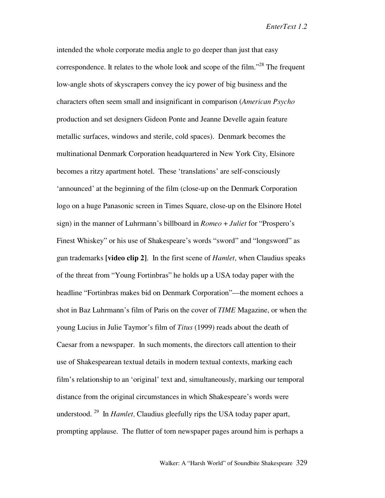intended the whole corporate media angle to go deeper than just that easy correspondence. It relates to the whole look and scope of the film.<sup> $28$ </sup> The frequent low-angle shots of skyscrapers convey the icy power of big business and the characters often seem small and insignificant in comparison (*American Psycho* production and set designers Gideon Ponte and Jeanne Develle again feature metallic surfaces, windows and sterile, cold spaces). Denmark becomes the multinational Denmark Corporation headquartered in New York City, Elsinore becomes a ritzy apartment hotel. These 'translations' are self-consciously 'announced' at the beginning of the film (close-up on the Denmark Corporation logo on a huge Panasonic screen in Times Square, close-up on the Elsinore Hotel sign) in the manner of Luhrmann's billboard in *Romeo* + *Juliet* for "Prospero's Finest Whiskey" or his use of Shakespeare's words "sword" and "longsword" as gun trademarks **[video clip 2]**. In the first scene of *Hamlet*, when Claudius speaks of the threat from "Young Fortinbras" he holds up a USA today paper with the headline "Fortinbras makes bid on Denmark Corporation"—the moment echoes a shot in Baz Luhrmann's film of Paris on the cover of *TIME* Magazine, or when the young Lucius in Julie Taymor's film of *Titus* (1999) reads about the death of Caesar from a newspaper. In such moments, the directors call attention to their use of Shakespearean textual details in modern textual contexts, marking each film's relationship to an 'original' text and, simultaneously, marking our temporal distance from the original circumstances in which Shakespeare's words were understood. 29 In *Hamlet,* Claudius gleefully rips the USA today paper apart, prompting applause. The flutter of torn newspaper pages around him is perhaps a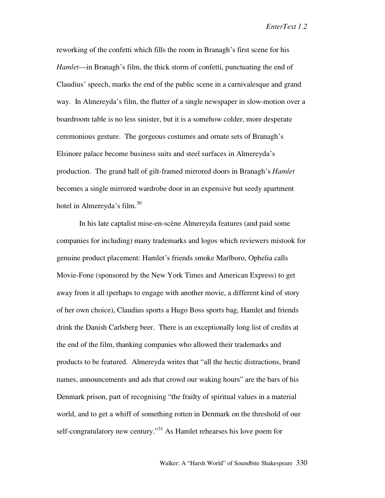reworking of the confetti which fills the room in Branagh's first scene for his *Hamlet*—in Branagh's film, the thick storm of confetti, punctuating the end of Claudius' speech, marks the end of the public scene in a carnivalesque and grand way. In Almereyda's film, the flutter of a single newspaper in slow-motion over a boardroom table is no less sinister, but it is a somehow colder, more desperate ceremonious gesture. The gorgeous costumes and ornate sets of Branagh's Elsinore palace become business suits and steel surfaces in Almereyda's production. The grand hall of gilt-framed mirrored doors in Branagh's *Hamlet* becomes a single mirrored wardrobe door in an expensive but seedy apartment hotel in Almereyda's film.<sup>30</sup>

In his late captalist mise-en-scène Almereyda features (and paid some companies for including) many trademarks and logos which reviewers mistook for genuine product placement: Hamlet's friends smoke Marlboro, Ophelia calls Movie-Fone (sponsored by the New York Times and American Express) to get away from it all (perhaps to engage with another movie, a different kind of story of her own choice), Claudius sports a Hugo Boss sports bag, Hamlet and friends drink the Danish Carlsberg beer. There is an exceptionally long list of credits at the end of the film, thanking companies who allowed their trademarks and products to be featured. Almereyda writes that "all the hectic distractions, brand names, announcements and ads that crowd our waking hours" are the bars of his Denmark prison, part of recognising "the frailty of spiritual values in a material world, and to get a whiff of something rotten in Denmark on the threshold of our self-congratulatory new century."<sup>31</sup> As Hamlet rehearses his love poem for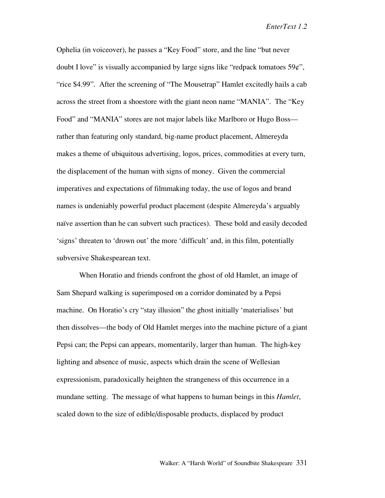Ophelia (in voiceover), he passes a "Key Food" store, and the line "but never doubt I love" is visually accompanied by large signs like "redpack tomatoes  $59¢$ ", "rice \$4.99". After the screening of "The Mousetrap" Hamlet excitedly hails a cab across the street from a shoestore with the giant neon name "MANIA". The "Key Food" and "MANIA" stores are not major labels like Marlboro or Hugo Boss rather than featuring only standard, big-name product placement, Almereyda makes a theme of ubiquitous advertising, logos, prices, commodities at every turn, the displacement of the human with signs of money. Given the commercial imperatives and expectations of filmmaking today, the use of logos and brand names is undeniably powerful product placement (despite Almereyda's arguably naïve assertion than he can subvert such practices). These bold and easily decoded 'signs' threaten to 'drown out' the more 'difficult' and, in this film, potentially subversive Shakespearean text.

When Horatio and friends confront the ghost of old Hamlet, an image of Sam Shepard walking is superimposed on a corridor dominated by a Pepsi machine. On Horatio's cry "stay illusion" the ghost initially 'materialises' but then dissolves—the body of Old Hamlet merges into the machine picture of a giant Pepsi can; the Pepsi can appears, momentarily, larger than human. The high-key lighting and absence of music, aspects which drain the scene of Wellesian expressionism, paradoxically heighten the strangeness of this occurrence in a mundane setting. The message of what happens to human beings in this *Hamlet*, scaled down to the size of edible/disposable products, displaced by product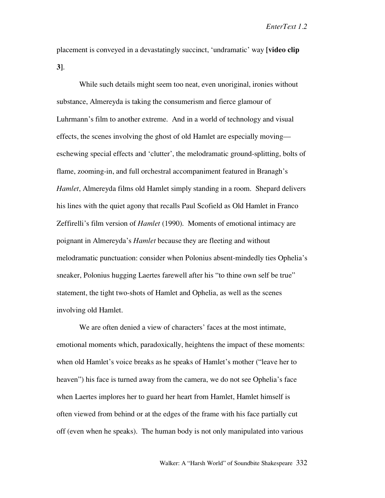placement is conveyed in a devastatingly succinct, 'undramatic' way **[video clip 3]**.

While such details might seem too neat, even unoriginal, ironies without substance, Almereyda is taking the consumerism and fierce glamour of Luhrmann's film to another extreme. And in a world of technology and visual effects, the scenes involving the ghost of old Hamlet are especially moving eschewing special effects and 'clutter', the melodramatic ground-splitting, bolts of flame, zooming-in, and full orchestral accompaniment featured in Branagh's *Hamlet*, Almereyda films old Hamlet simply standing in a room. Shepard delivers his lines with the quiet agony that recalls Paul Scofield as Old Hamlet in Franco Zeffirelli's film version of *Hamlet* (1990). Moments of emotional intimacy are poignant in Almereyda's *Hamlet* because they are fleeting and without melodramatic punctuation: consider when Polonius absent-mindedly ties Ophelia's sneaker, Polonius hugging Laertes farewell after his "to thine own self be true" statement, the tight two-shots of Hamlet and Ophelia, as well as the scenes involving old Hamlet.

We are often denied a view of characters' faces at the most intimate, emotional moments which, paradoxically, heightens the impact of these moments: when old Hamlet's voice breaks as he speaks of Hamlet's mother ("leave her to heaven") his face is turned away from the camera, we do not see Ophelia's face when Laertes implores her to guard her heart from Hamlet, Hamlet himself is often viewed from behind or at the edges of the frame with his face partially cut off (even when he speaks). The human body is not only manipulated into various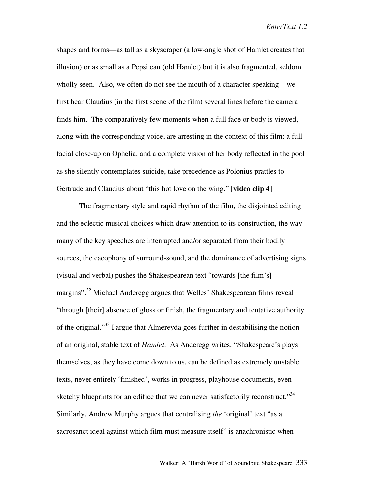shapes and forms—as tall as a skyscraper (a low-angle shot of Hamlet creates that illusion) or as small as a Pepsi can (old Hamlet) but it is also fragmented, seldom wholly seen. Also, we often do not see the mouth of a character speaking – we first hear Claudius (in the first scene of the film) several lines before the camera finds him. The comparatively few moments when a full face or body is viewed, along with the corresponding voice, are arresting in the context of this film: a full facial close-up on Ophelia, and a complete vision of her body reflected in the pool as she silently contemplates suicide, take precedence as Polonius prattles to Gertrude and Claudius about "this hot love on the wing." **[video clip 4]**

The fragmentary style and rapid rhythm of the film, the disjointed editing and the eclectic musical choices which draw attention to its construction, the way many of the key speeches are interrupted and/or separated from their bodily sources, the cacophony of surround-sound, and the dominance of advertising signs (visual and verbal) pushes the Shakespearean text "towards [the film's] margins"<sup>32</sup> Michael Anderegg argues that Welles' Shakespearean films reveal "through [their] absence of gloss or finish, the fragmentary and tentative authority of the original."33 I argue that Almereyda goes further in destabilising the notion of an original, stable text of *Hamlet*. As Anderegg writes, "Shakespeare's plays themselves, as they have come down to us, can be defined as extremely unstable texts, never entirely 'finished', works in progress, playhouse documents, even sketchy blueprints for an edifice that we can never satisfactorily reconstruct."<sup>34</sup> Similarly, Andrew Murphy argues that centralising *the* 'original' text "as a sacrosanct ideal against which film must measure itself" is anachronistic when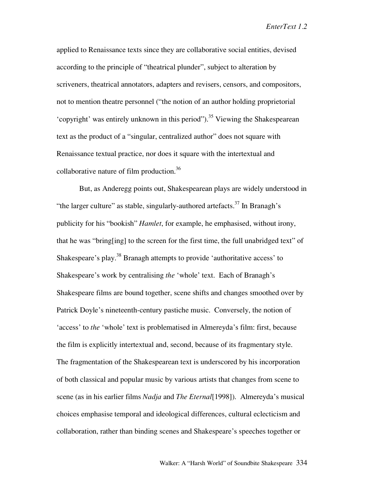applied to Renaissance texts since they are collaborative social entities, devised according to the principle of "theatrical plunder", subject to alteration by scriveners, theatrical annotators, adapters and revisers, censors, and compositors, not to mention theatre personnel ("the notion of an author holding proprietorial 'copyright' was entirely unknown in this period").<sup>35</sup> Viewing the Shakespearean text as the product of a "singular, centralized author" does not square with Renaissance textual practice, nor does it square with the intertextual and collaborative nature of film production.<sup>36</sup>

But, as Anderegg points out, Shakespearean plays are widely understood in "the larger culture" as stable, singularly-authored artefacts.<sup>37</sup> In Branagh's publicity for his "bookish" *Hamlet*, for example, he emphasised, without irony, that he was "bring[ing] to the screen for the first time, the full unabridged text" of Shakespeare's play.<sup>38</sup> Branagh attempts to provide 'authoritative access' to Shakespeare's work by centralising *the* 'whole' text. Each of Branagh's Shakespeare films are bound together, scene shifts and changes smoothed over by Patrick Doyle's nineteenth-century pastiche music. Conversely, the notion of 'access' to *the* 'whole' text is problematised in Almereyda's film: first, because the film is explicitly intertextual and, second, because of its fragmentary style. The fragmentation of the Shakespearean text is underscored by his incorporation of both classical and popular music by various artists that changes from scene to scene (as in his earlier films *Nadja* and *The Eternal*[1998]). Almereyda's musical choices emphasise temporal and ideological differences, cultural eclecticism and collaboration, rather than binding scenes and Shakespeare's speeches together or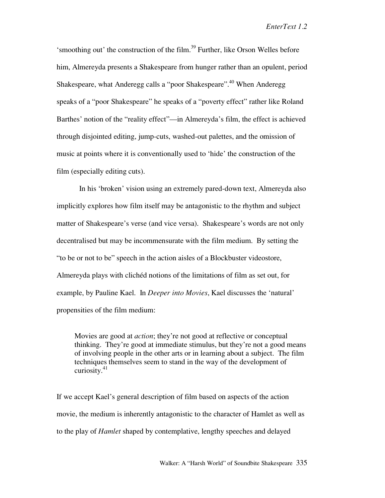'smoothing out' the construction of the film.<sup>39</sup> Further, like Orson Welles before him, Almereyda presents a Shakespeare from hunger rather than an opulent, period Shakespeare, what Anderegg calls a "poor Shakespeare".<sup>40</sup> When Anderegg speaks of a "poor Shakespeare" he speaks of a "poverty effect" rather like Roland Barthes' notion of the "reality effect"—in Almereyda's film, the effect is achieved through disjointed editing, jump-cuts, washed-out palettes, and the omission of music at points where it is conventionally used to 'hide' the construction of the film (especially editing cuts).

In his 'broken' vision using an extremely pared-down text, Almereyda also implicitly explores how film itself may be antagonistic to the rhythm and subject matter of Shakespeare's verse (and vice versa). Shakespeare's words are not only decentralised but may be incommensurate with the film medium. By setting the "to be or not to be" speech in the action aisles of a Blockbuster videostore, Almereyda plays with clichéd notions of the limitations of film as set out, for example, by Pauline Kael. In *Deeper into Movies*, Kael discusses the 'natural' propensities of the film medium:

Movies are good at *action*; they're not good at reflective or conceptual thinking. They're good at immediate stimulus, but they're not a good means of involving people in the other arts or in learning about a subject. The film techniques themselves seem to stand in the way of the development of curiosity. $41$ 

If we accept Kael's general description of film based on aspects of the action movie, the medium is inherently antagonistic to the character of Hamlet as well as to the play of *Hamlet* shaped by contemplative, lengthy speeches and delayed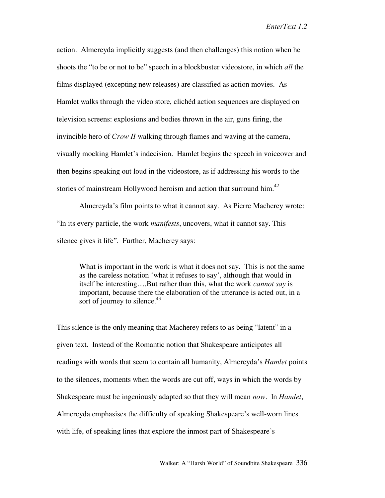action. Almereyda implicitly suggests (and then challenges) this notion when he shoots the "to be or not to be" speech in a blockbuster videostore, in which *all* the films displayed (excepting new releases) are classified as action movies. As Hamlet walks through the video store, clichéd action sequences are displayed on television screens: explosions and bodies thrown in the air, guns firing, the invincible hero of *Crow II* walking through flames and waving at the camera, visually mocking Hamlet's indecision. Hamlet begins the speech in voiceover and then begins speaking out loud in the videostore, as if addressing his words to the stories of mainstream Hollywood heroism and action that surround him. $^{42}$ 

Almereyda's film points to what it cannot say. As Pierre Macherey wrote: "In its every particle, the work *manifests*, uncovers, what it cannot say. This silence gives it life". Further, Macherey says:

What is important in the work is what it does not say. This is not the same as the careless notation 'what it refuses to say', although that would in itself be interesting….But rather than this, what the work *cannot say* is important, because there the elaboration of the utterance is acted out, in a sort of journey to silence. $43$ 

This silence is the only meaning that Macherey refers to as being "latent" in a given text. Instead of the Romantic notion that Shakespeare anticipates all readings with words that seem to contain all humanity, Almereyda's *Hamlet* points to the silences, moments when the words are cut off, ways in which the words by Shakespeare must be ingeniously adapted so that they will mean *now*. In *Hamlet*, Almereyda emphasises the difficulty of speaking Shakespeare's well-worn lines with life, of speaking lines that explore the inmost part of Shakespeare's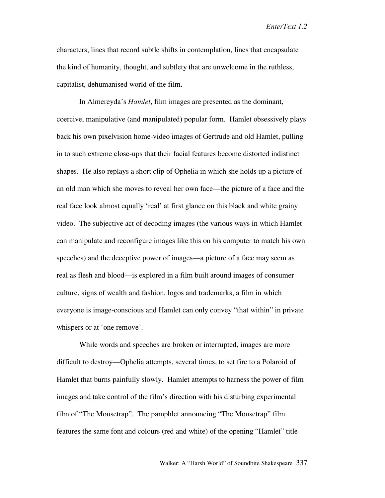characters, lines that record subtle shifts in contemplation, lines that encapsulate the kind of humanity, thought, and subtlety that are unwelcome in the ruthless, capitalist, dehumanised world of the film.

In Almereyda's *Hamlet*, film images are presented as the dominant, coercive, manipulative (and manipulated) popular form. Hamlet obsessively plays back his own pixelvision home-video images of Gertrude and old Hamlet, pulling in to such extreme close-ups that their facial features become distorted indistinct shapes. He also replays a short clip of Ophelia in which she holds up a picture of an old man which she moves to reveal her own face—the picture of a face and the real face look almost equally 'real' at first glance on this black and white grainy video. The subjective act of decoding images (the various ways in which Hamlet can manipulate and reconfigure images like this on his computer to match his own speeches) and the deceptive power of images—a picture of a face may seem as real as flesh and blood—is explored in a film built around images of consumer culture, signs of wealth and fashion, logos and trademarks, a film in which everyone is image-conscious and Hamlet can only convey "that within" in private whispers or at 'one remove'.

While words and speeches are broken or interrupted, images are more difficult to destroy—Ophelia attempts, several times, to set fire to a Polaroid of Hamlet that burns painfully slowly. Hamlet attempts to harness the power of film images and take control of the film's direction with his disturbing experimental film of "The Mousetrap". The pamphlet announcing "The Mousetrap" film features the same font and colours (red and white) of the opening "Hamlet" title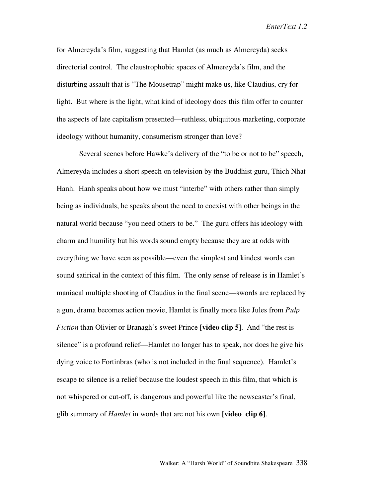for Almereyda's film, suggesting that Hamlet (as much as Almereyda) seeks directorial control. The claustrophobic spaces of Almereyda's film, and the disturbing assault that is "The Mousetrap" might make us, like Claudius, cry for light. But where is the light, what kind of ideology does this film offer to counter the aspects of late capitalism presented—ruthless, ubiquitous marketing, corporate ideology without humanity, consumerism stronger than love?

Several scenes before Hawke's delivery of the "to be or not to be" speech, Almereyda includes a short speech on television by the Buddhist guru, Thich Nhat Hanh. Hanh speaks about how we must "interbe" with others rather than simply being as individuals, he speaks about the need to coexist with other beings in the natural world because "you need others to be." The guru offers his ideology with charm and humility but his words sound empty because they are at odds with everything we have seen as possible—even the simplest and kindest words can sound satirical in the context of this film. The only sense of release is in Hamlet's maniacal multiple shooting of Claudius in the final scene—swords are replaced by a gun, drama becomes action movie, Hamlet is finally more like Jules from *Pulp Fiction* than Olivier or Branagh's sweet Prince **[video clip 5]**. And "the rest is silence" is a profound relief—Hamlet no longer has to speak, nor does he give his dying voice to Fortinbras (who is not included in the final sequence). Hamlet's escape to silence is a relief because the loudest speech in this film, that which is not whispered or cut-off, is dangerous and powerful like the newscaster's final, glib summary of *Hamlet* in words that are not his own **[video clip 6]**.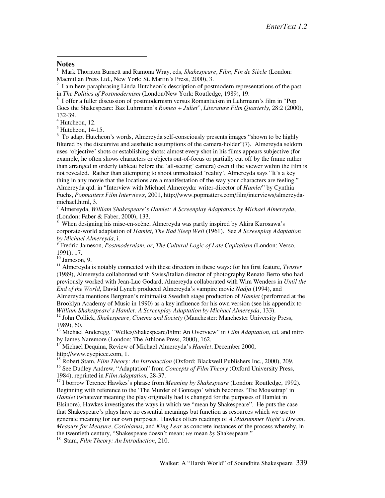## **Notes**

 $\overline{a}$ 

1 Mark Thornton Burnett and Ramona Wray, eds, *Shakespeare, Film, Fin de Siècle* (London: Macmillan Press Ltd., New York: St. Martin's Press, 2000), 3. <sup>2</sup>

<sup>2</sup> I am here paraphrasing Linda Hutcheon's description of postmodern representations of the past in *The Politics of Postmodernism* (London/New York: Routledge, 1989), 19.

<sup>3</sup> I offer a fuller discussion of postmodernism versus Romanticism in Luhrmann's film in "Pop Goes the Shakespeare: Baz Luhrmann's *Romeo + Juliet*", *Literature Film Quarterly*, 28:2 (2000), 132-39.

4 Hutcheon, 12.

 $<sup>5</sup>$  Hutcheon, 14-15.</sup>

<sup>6</sup> To adapt Hutcheon's words, Almereyda self-consciously presents images "shown to be highly filtered by the discursive and aesthetic assumptions of the camera-holder"(7). Almereyda seldom uses 'objective' shots or establishing shots: almost every shot in his films appears subjective (for example, he often shows characters or objects out-of-focus or partially cut off by the frame rather than arranged in orderly tableau before the 'all-seeing' camera) even if the viewer within the film is not revealed. Rather than attempting to shoot unmediated 'reality', Almereyda says "It's a key thing in any movie that the locations are a manifestation of the way your characters are feeling." Almereyda qtd. in "Interview with Michael Almereyda: writer-director of *Hamlet*" by Cynthia Fuchs, *Popmatters Film Interviews*, 2001, http://www.popmatters.com/film/interviews/almereydamichael.html, 3.<br><sup>7</sup> Almereyda, *William Shakespeare's Hamlet: A Screenplay Adaptation by Michael Almereyda*,

(London: Faber & Faber, 2000), 133.

 When designing his mise-en-scène, Almereyda was partly inspired by Akira Kurosawa's corporate-world adaptation of *Hamlet, The Bad Sleep Well* (1961). See *A Screenplay Adaptation by Michael Almereyda*, i.

9 Fredric Jameson, *Postmodernism, or, The Cultural Logic of Late Capitalism* (London: Verso, 1991), 17.

 $10$  Jameson, 9.

<sup>11</sup> Almereyda is notably connected with these directors in these ways: for his first feature, *Twister* (1989), Almereyda collaborated with Swiss/Italian director of photography Renato Berto who had previously worked with Jean-Luc Godard, Almereyda collaborated with Wim Wenders in *Until the End of the World*, David Lynch produced Almereyda's vampire movie *Nadja* (1994), and

Almereyda mentions Bergman's minimalist Swedish stage production of *Hamlet* (performed at the Brooklyn Academy of Music in 1990) as a key influence for his own version (see his appendix to

*William Shakespeare's Hamlet: A Screenplay Adaptation by Michael Almereyda*, 133).<br><sup>12</sup> John Collick, *Shakespeare, Cinema and Society* (Manchester: Manchester University Press, 1989), 60.

<sup>13</sup> Michael Anderegg, "Welles/Shakespeare/Film: An Overview" in *Film Adaptation*, ed. and intro by James Naremore (London: The Athlone Press, 2000), 162.

<sup>14</sup> Michael Dequina, Review of Michael Almereyda's *Hamlet*, December 2000, http://www.eyepiece.com, 1.

<sup>15</sup> Robert Stam, *Film Theory: An Introduction* (Oxford: Blackwell Publishers Inc., 2000), 209.

<sup>16</sup> See Dudley Andrew, "Adaptation" from *Concepts of Film Theory* (Oxford University Press, 1984), reprinted in *Film Adaptation*, 28-37.<br><sup>17</sup> I borrow Terence Hawkes's phrase from *Meaning by Shakespeare* (London: Routledge, 1992).

Beginning with reference to the 'The Murder of Gonzago' which becomes 'The Mousetrap' in Hamlet (whatever meaning the play originally had is changed for the purposes of Hamlet in Elsinore), Hawkes investigates the ways in which we "mean by Shakespeare". He puts the case that Shakespeare's plays have no essential meanings but function as resources which we use to generate meaning for our own purposes. Hawkes offers readings of *A Midsummer Night's Dream, Measure for Measure, Coriolanus,* and *King Lear* as concrete instances of the process whereby, in the twentieth century, "Shakespeare doesn't mean: *we* mean *by* Shakespeare." 18 Stam, *Film Theory: An Introduction*, 210.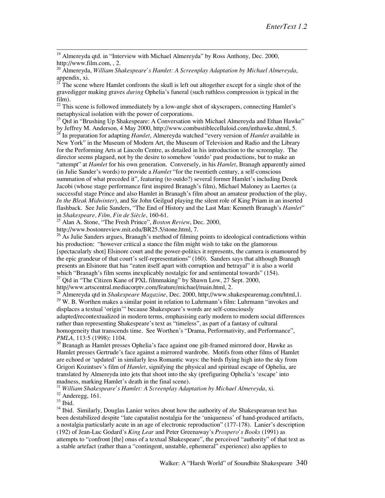<sup>19</sup> Almereyda qtd. in "Interview with Michael Almereyda" by Ross Anthony, Dec. 2000, http://www.film.com,  $\lambda$ .

<sup>20</sup> Almereyda, *William Shakespeare's Hamlet: A Screenplay Adaptation by Michael Almereyda*, appendix, xi.

<sup>21</sup> The scene where Hamlet confronts the skull is left out altogether except for a single shot of the gravedigger making graves *during* Ophelia's funeral (such ruthless compression is typical in the film).

<sup>22</sup> This scene is followed immediately by a low-angle shot of skyscrapers, connecting Hamlet's metaphysical isolation with the power of corporations.<br><sup>23</sup> Qtd in "Brushing Up Shakespeare: A Conversation with Michael Almereyda and Ethan Hawke"

by Jeffrey M. Anderson, 4 May 2000, http://www.combustiblecelluloid.com/inthawke.shtml, 5.

24 In preparation for adapting *Hamlet*, Almereyda watched "every version of *Hamlet* available in New York" in the Museum of Modern Art, the Museum of Television and Radio and the Library for the Performing Arts at Lincoln Centre, as detailed in his introduction to the screenplay. The director seems plagued, not by the desire to somehow 'outdo' past productions, but to make an "attempt" at *Hamlet* for his own generation. Conversely, in his *Hamlet*, Branagh apparently aimed (in Julie Sander's words) to provide a *Hamlet* "for the twentieth century, a self-conscious summation of what preceded it", featuring (to outdo?) several former Hamlet's including Derek Jacobi (whose stage performance first inspired Branagh's film), Michael Maloney as Laertes (a successful stage Prince and also Hamlet in Branagh's film about an amateur production of the play, *In the Bleak Midwinter*), and Sir John Geilgud playing the silent role of King Priam in an inserted flashback. See Julie Sanders, "The End of History and the Last Man: Kenneth Branagh's *Hamlet*" in *Shakespeare, Film, Fin de Siècle*, 160-61.

25 Alan A. Stone, "The Fresh Prince", *Boston Review*, Dec. 2000,

http://www.bostonreview.mit.edu/BR25.5/stone.html, 7.

 $^{26}$  As Julie Sanders argues, Branagh's method of filming points to ideological contradictions within his production: "however critical a stance the film might wish to take on the glamorous [spectacularly shot] Elsinore court and the power-politics it represents, the camera is enamoured by the epic grandeur of that court's self-representations" (160). Sanders says that although Branagh presents an Elsinore that has "eaten itself apart with corruption and betrayal" it is also a world which "Branagh's film seems inexplicably nostalgic for and sentimental towards" (154).<br><sup>27</sup> Qtd in "The Citizen Kane of PXL filmmaking" by Shawn Low, 27 Sept. 2000,

http//www.artscentral.mediacorptv.com/feature/michael/main.html, 2.

<sup>28</sup> Almereyda qtd in *Shakespeare Magazine*, Dec. 2000, http://www.shakespearemag.com/html,1. <sup>29</sup> W. B. Worthen makes a similar point in relation to Luhrmann's film: Luhrmann "invokes and displaces a textual 'origin'" because Shakespeare's words are self-consciously

adapted/recontextualized in modern terms, emphasising early modern to modern social differences rather than representing Shakespeare's text as "timeless", as part of a fantasy of cultural homogeneity that transcends time. See Worthen's "Drama, Performativity, and Performance", *PMLA*, 113:5 (1998): 1104.<br><sup>30</sup> Branagh as Hamlet presses Ophelia's face against one gilt-framed mirrored door, Hawke as

Hamlet presses Gertrude's face against a mirrored wardrobe. Motifs from other films of Hamlet are echoed or 'updated' in similarly less Romantic ways: the birds flying high into the sky from Grigori Kozintsev's film of *Hamlet*, signifying the physical and spiritual escape of Ophelia, are translated by Almereyda into jets that shoot into the sky (prefiguring Ophelia's 'escape' into madness, marking Hamlet's death in the final scene).

<sup>31</sup> *William Shakespeare's Hamlet: A Screenplay Adaptation by Michael Almereyda, xi.* <sup>32</sup> Anderegg, 161.<br><sup>32</sup> Anderegg, 161.

<sup>34</sup> Ibid. Similarly, Douglas Lanier writes about how the authority of *the Shakespearean text has* been destabilized despite "late capatalist nostalgia for the 'uniqueness' of hand-produced artifacts, a nostalgia particularly acute in an age of electronic reproduction" (177-178). Lanier's description (192) of Jean-Luc Godard's *King Lear* and Peter Greenaway's *Prospero's Books* (1991) as attempts to "confront [the] onus of a textual Shakespeare", the perceived "authority" of that text as a stable artefact (rather than a "contingent, unstable, ephemeral" experience) also applies to